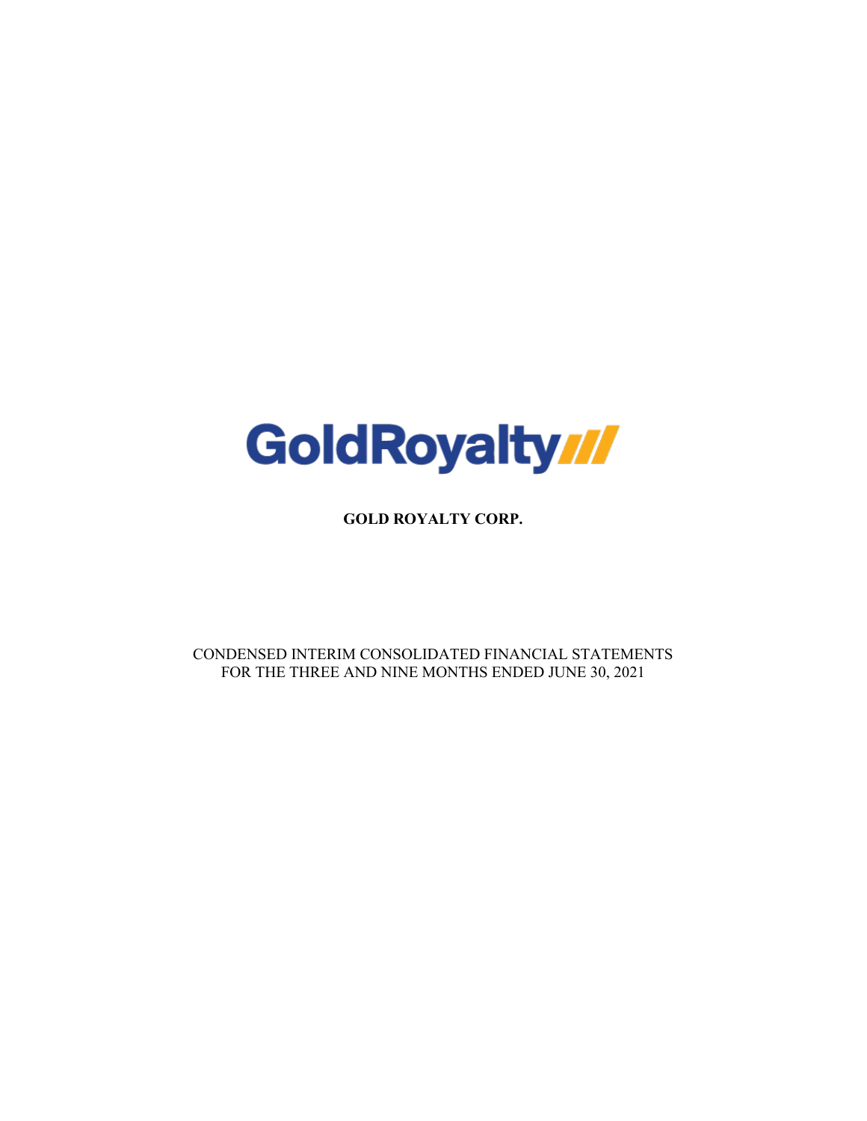

**GOLD ROYALTY CORP.**

CONDENSED INTERIM CONSOLIDATED FINANCIAL STATEMENTS FOR THE THREE AND NINE MONTHS ENDED JUNE 30, 2021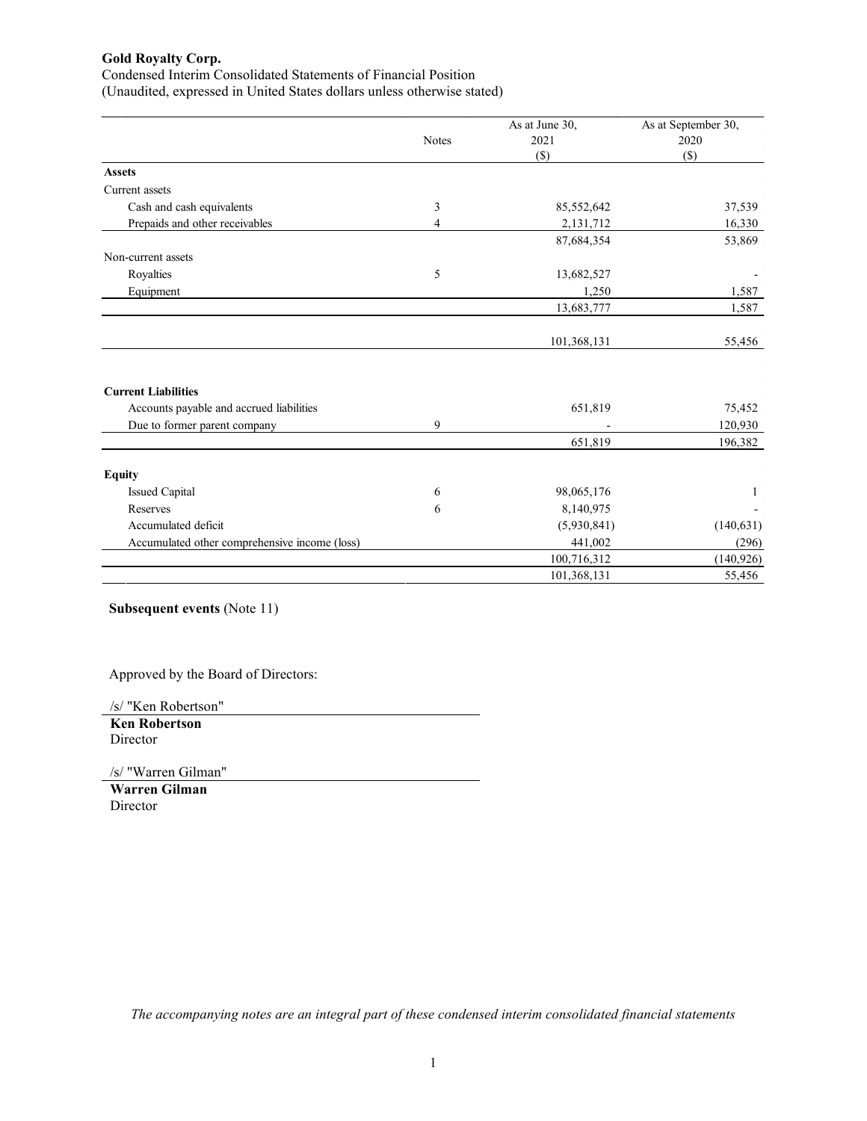Condensed Interim Consolidated Statements of Financial Position (Unaudited, expressed in United States dollars unless otherwise stated)

|                                               |              | As at June 30, | As at September 30, |
|-----------------------------------------------|--------------|----------------|---------------------|
|                                               | <b>Notes</b> | 2021           | 2020                |
|                                               |              | $(\$)$         | $(\$)$              |
| <b>Assets</b>                                 |              |                |                     |
| Current assets                                |              |                |                     |
| Cash and cash equivalents                     | 3            | 85,552,642     | 37,539              |
| Prepaids and other receivables                | 4            | 2,131,712      | 16,330              |
|                                               |              | 87,684,354     | 53,869              |
| Non-current assets                            |              |                |                     |
| Royalties                                     | 5            | 13,682,527     |                     |
| Equipment                                     |              | 1,250          | 1,587               |
|                                               |              | 13,683,777     | 1,587               |
|                                               |              |                |                     |
|                                               |              | 101,368,131    | 55,456              |
| <b>Current Liabilities</b>                    |              |                |                     |
| Accounts payable and accrued liabilities      |              | 651,819        | 75,452              |
| Due to former parent company                  | 9            |                | 120,930             |
|                                               |              | 651,819        | 196,382             |
| <b>Equity</b>                                 |              |                |                     |
| <b>Issued Capital</b>                         | 6            | 98,065,176     | 1                   |
| Reserves                                      | 6            | 8,140,975      |                     |
| Accumulated deficit                           |              | (5,930,841)    | (140, 631)          |
| Accumulated other comprehensive income (loss) |              | 441,002        | (296)               |
|                                               |              | 100,716,312    | (140, 926)          |
|                                               |              | 101,368,131    | 55,456              |

**Subsequent events** (Note 11)

Approved by the Board of Directors:

/s/ "Ken Robertson"

**Ken Robertson Director** 

/s/ "Warren Gilman"

**Warren Gilman** Director

*The accompanying notes are an integral part of these condensed interim consolidated financial statements*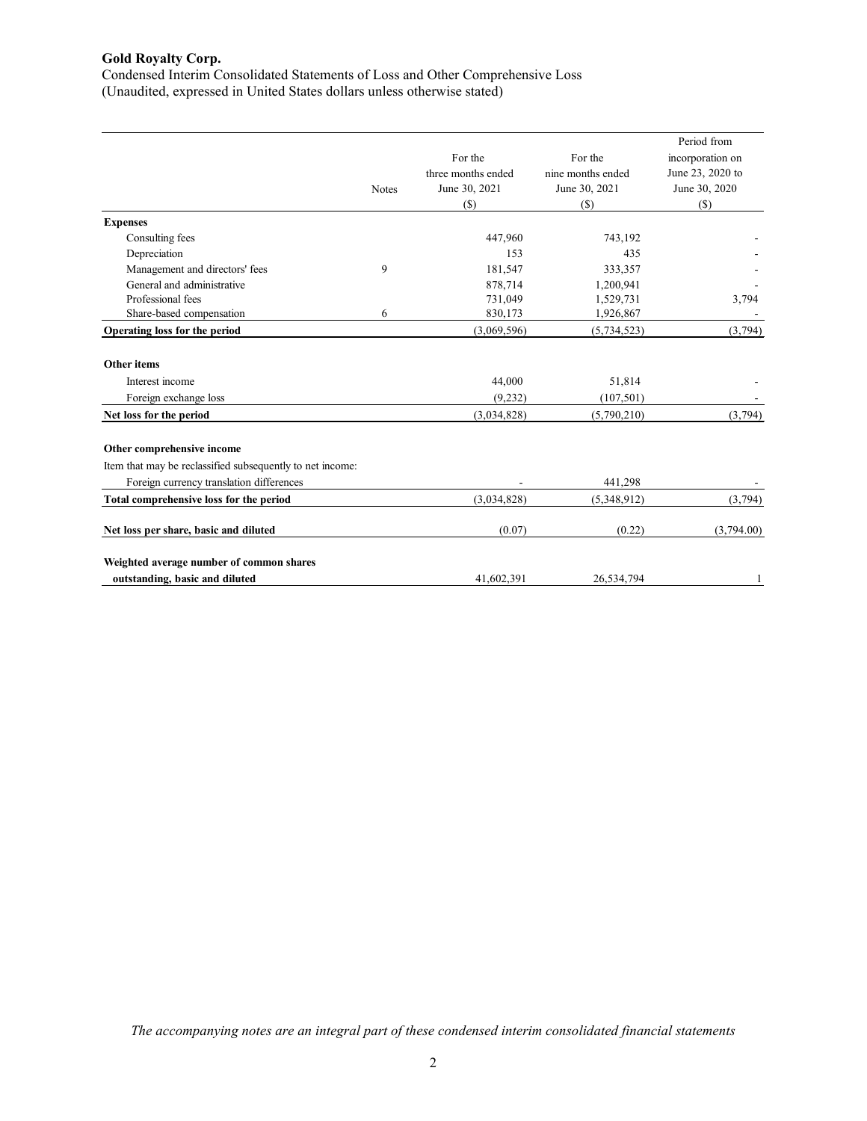Condensed Interim Consolidated Statements of Loss and Other Comprehensive Loss (Unaudited, expressed in United States dollars unless otherwise stated)

|                                                           |              |                    |                   | Period from      |
|-----------------------------------------------------------|--------------|--------------------|-------------------|------------------|
|                                                           |              | For the            | For the           | incorporation on |
|                                                           |              | three months ended | nine months ended | June 23, 2020 to |
|                                                           | <b>Notes</b> | June 30, 2021      | June 30, 2021     | June 30, 2020    |
|                                                           |              | $(s)$              | (S)               | $($)$            |
| <b>Expenses</b>                                           |              |                    |                   |                  |
| Consulting fees                                           |              | 447,960            | 743,192           |                  |
| Depreciation                                              |              | 153                | 435               |                  |
| Management and directors' fees                            | 9            | 181,547            | 333,357           |                  |
| General and administrative                                |              | 878,714            | 1,200,941         |                  |
| Professional fees                                         |              | 731,049            | 1,529,731         | 3,794            |
| Share-based compensation                                  | 6            | 830,173            | 1,926,867         |                  |
| Operating loss for the period                             |              | (3,069,596)        | (5,734,523)       | (3,794)          |
|                                                           |              |                    |                   |                  |
| <b>Other items</b>                                        |              |                    |                   |                  |
| Interest income                                           |              | 44,000             | 51,814            |                  |
| Foreign exchange loss                                     |              | (9,232)            | (107, 501)        |                  |
| Net loss for the period                                   |              | (3,034,828)        | (5,790,210)       | (3,794)          |
|                                                           |              |                    |                   |                  |
| Other comprehensive income                                |              |                    |                   |                  |
| Item that may be reclassified subsequently to net income: |              |                    |                   |                  |
| Foreign currency translation differences                  |              |                    | 441,298           |                  |
| Total comprehensive loss for the period                   |              | (3,034,828)        | (5,348,912)       | (3,794)          |
| Net loss per share, basic and diluted                     |              | (0.07)             | (0.22)            | (3,794.00)       |
| Weighted average number of common shares                  |              |                    |                   |                  |
| outstanding, basic and diluted                            |              | 41,602,391         | 26,534,794        |                  |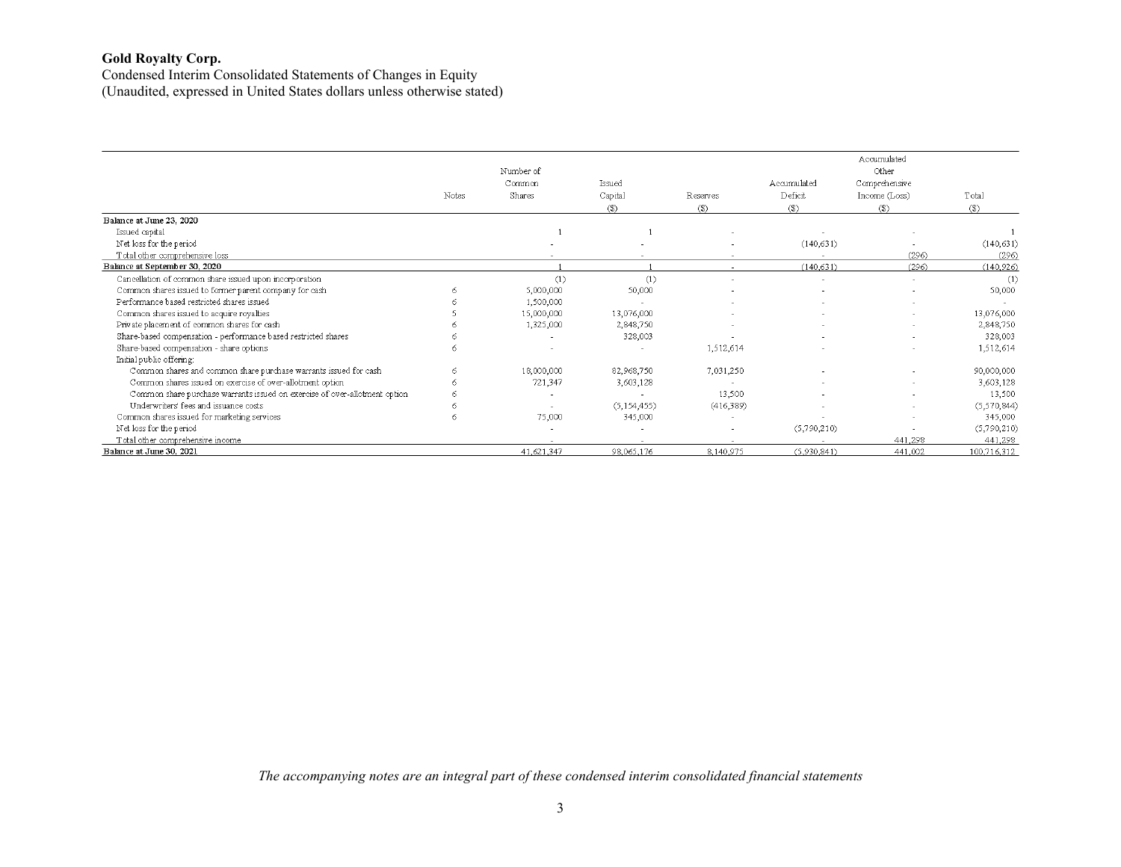Condensed Interim Consolidated Statements of Changes in Equity (Unaudited, expressed in United States dollars unless otherwise stated)

|                                                                            |       | Number of  |               |           |             | Accumulated<br>Other |             |
|----------------------------------------------------------------------------|-------|------------|---------------|-----------|-------------|----------------------|-------------|
|                                                                            |       | Common     | Issued        |           | Accumulated | Comprehensive        |             |
|                                                                            | Notes | Shares     | Capital       | Reserves  | Deficit     | Income (Loss)        | Total       |
|                                                                            |       |            | $(3)$         | (3)       | (3)         | $($)$                | $($)$       |
| Balance at June 23, 2020                                                   |       |            |               |           |             |                      |             |
| Issued capital                                                             |       |            |               |           |             |                      |             |
| Net loss for the period                                                    |       |            |               |           | (140, 631)  |                      | (140, 631)  |
| Total other comprehensive loss                                             |       |            |               |           |             | (296)                | (296)       |
| Balance at September 30, 2020                                              |       |            |               |           | (140.631)   | (296)                | (140, 926)  |
| Cancellation of common share issued upon incorporation                     |       | (1)        | (1)           |           | $\sim$      |                      | (1)         |
| Common shares issued to former parent company for cash                     |       | 5,000,000  | 50,000        |           | $\sim$      |                      | 50,000      |
| Performance based restricted shares issued                                 |       | 1,500,000  |               |           |             |                      |             |
| Common shares issued to acquire royalties                                  |       | 15,000,000 | 13,076,000    |           | $\sim$      |                      | 13,076,000  |
| Private placement of common shares for cash                                |       | 1,325,000  | 2,848,750     |           |             |                      | 2,848,750   |
| Share-based compensation - performance based restricted shares             |       |            | 328,003       |           |             |                      | 328,003     |
| Share-based compensation - share options                                   |       |            |               | 1,512,614 |             |                      | 1,512,614   |
| Initial public offering:                                                   |       |            |               |           |             |                      |             |
| Common shares and common share purchase warrants issued for cash           |       | 18,000,000 | 82,968,750    | 7,031,250 |             |                      | 90,000,000  |
| Common shares issued on exercise of over-allotment option                  |       | 721,347    | 3,603,128     |           |             |                      | 3,603,128   |
| Common share purchase warrants issued on exercise of over-allotment option |       |            |               | 13,500    |             |                      | 13,500      |
| Underwriters' fees and issuance costs                                      |       |            | (5, 154, 455) | (416,389) |             | $\sim$               | (5,570,844) |
| Common shares issued for marketing services                                |       | 75,000     | 345,000       |           |             |                      | 345,000     |
| Net loss for the period                                                    |       |            |               |           | (5,790,210) |                      | (5,790,210) |
| Total other comprehensive income                                           |       |            |               | $\sim$    |             | 441,298              | 441,298     |
| Balance at June 30, 2021                                                   |       | 41,621,347 | 98,065,176    | 8,140,975 | (5,930,841) | 441,002              | 100,716,312 |

*The accompanying notes are an integral part of these condensed interim consolidated financial statements*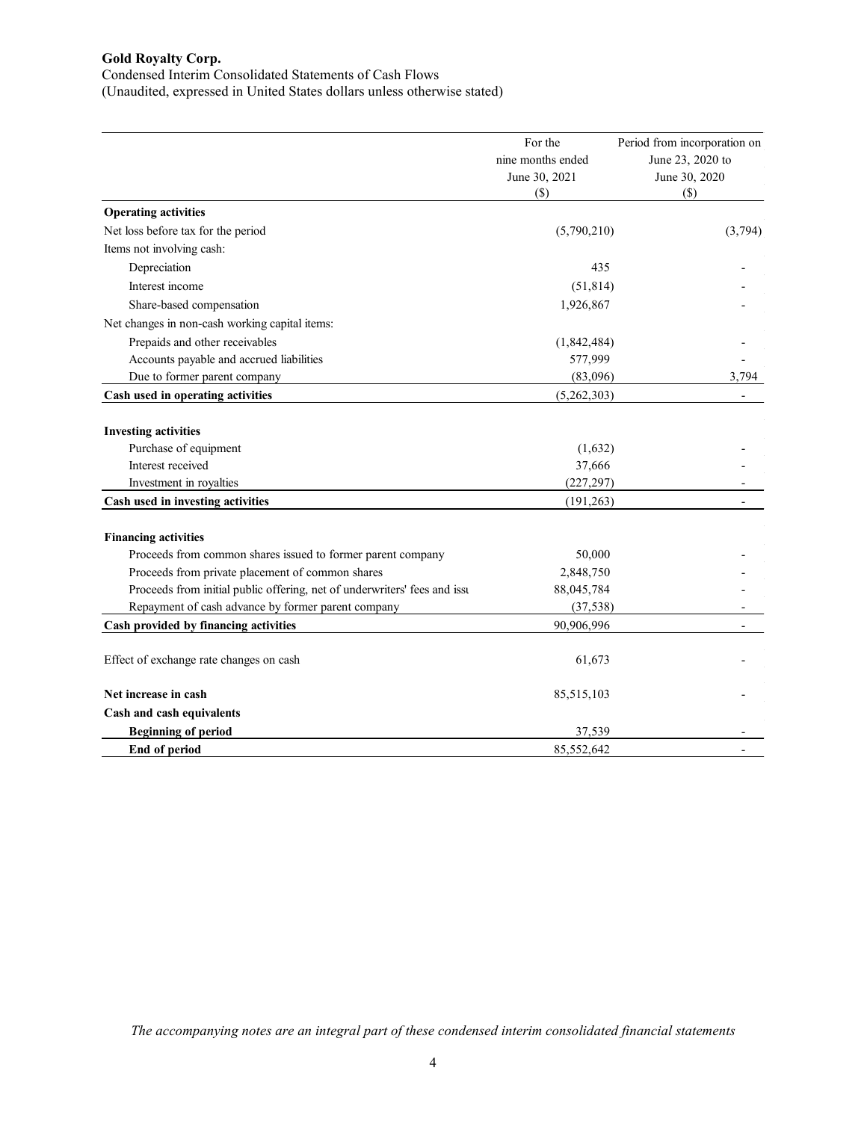Condensed Interim Consolidated Statements of Cash Flows

(Unaudited, expressed in United States dollars unless otherwise stated)

|                                                                           | For the<br>nine months ended<br>June 30, 2021<br>$(\$)$ | Period from incorporation on<br>June 23, 2020 to<br>June 30, 2020<br>$(\$)$ |
|---------------------------------------------------------------------------|---------------------------------------------------------|-----------------------------------------------------------------------------|
| <b>Operating activities</b>                                               |                                                         |                                                                             |
| Net loss before tax for the period                                        | (5,790,210)                                             | (3,794)                                                                     |
| Items not involving cash:                                                 |                                                         |                                                                             |
| Depreciation                                                              | 435                                                     |                                                                             |
| Interest income                                                           | (51, 814)                                               |                                                                             |
| Share-based compensation                                                  | 1,926,867                                               |                                                                             |
| Net changes in non-cash working capital items:                            |                                                         |                                                                             |
| Prepaids and other receivables                                            | (1,842,484)                                             |                                                                             |
| Accounts payable and accrued liabilities                                  | 577,999                                                 |                                                                             |
| Due to former parent company                                              | (83,096)                                                | 3,794                                                                       |
| Cash used in operating activities                                         | (5,262,303)                                             |                                                                             |
| <b>Investing activities</b><br>Purchase of equipment                      | (1,632)                                                 |                                                                             |
| Interest received                                                         | 37,666                                                  |                                                                             |
| Investment in royalties                                                   | (227, 297)                                              |                                                                             |
| Cash used in investing activities                                         | (191, 263)                                              |                                                                             |
| <b>Financing activities</b>                                               |                                                         |                                                                             |
| Proceeds from common shares issued to former parent company               | 50,000                                                  |                                                                             |
| Proceeds from private placement of common shares                          | 2,848,750                                               |                                                                             |
| Proceeds from initial public offering, net of underwriters' fees and issu | 88,045,784                                              |                                                                             |
| Repayment of cash advance by former parent company                        | (37, 538)                                               |                                                                             |
| Cash provided by financing activities                                     | 90,906,996                                              |                                                                             |
| Effect of exchange rate changes on cash                                   | 61,673                                                  |                                                                             |
| Net increase in cash                                                      | 85,515,103                                              |                                                                             |
| Cash and cash equivalents                                                 |                                                         |                                                                             |
| <b>Beginning of period</b>                                                | 37,539                                                  |                                                                             |
| <b>End of period</b>                                                      | 85,552,642                                              |                                                                             |

*The accompanying notes are an integral part of these condensed interim consolidated financial statements*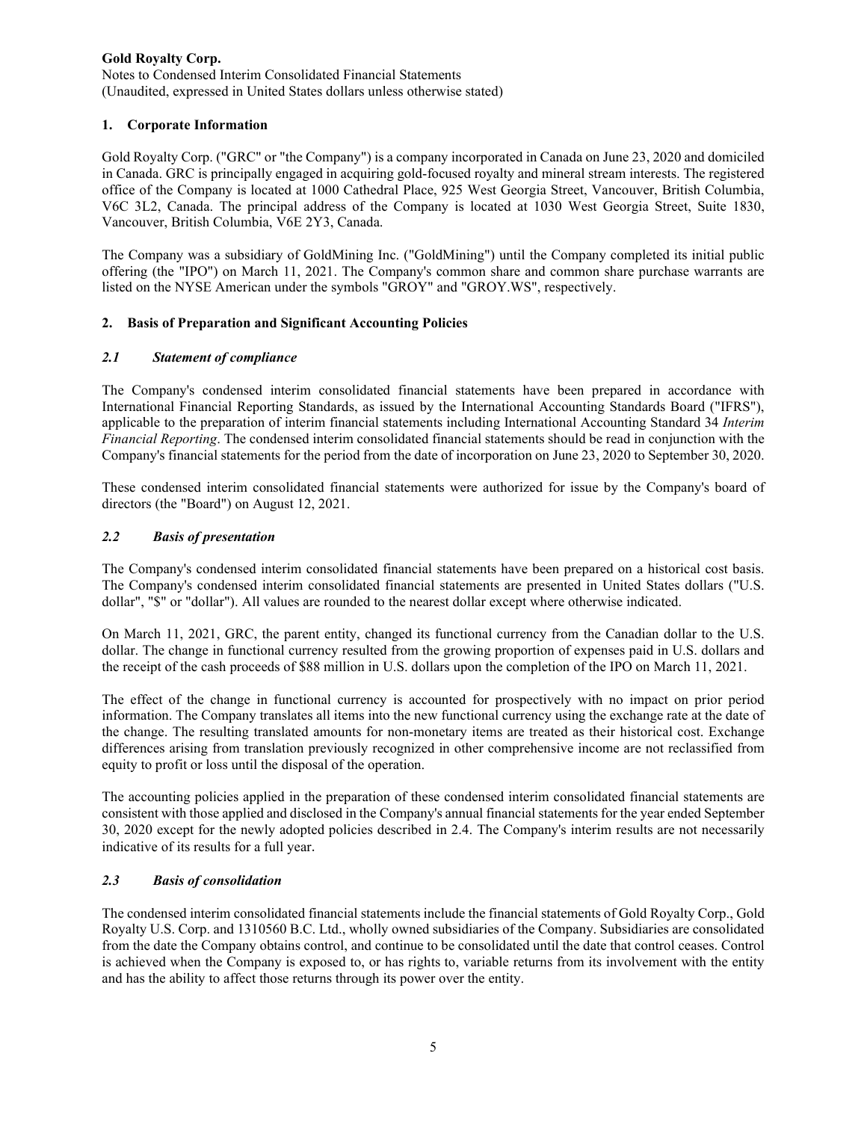Notes to Condensed Interim Consolidated Financial Statements (Unaudited, expressed in United States dollars unless otherwise stated)

# **1. Corporate Information**

Gold Royalty Corp. ("GRC" or "the Company") is a company incorporated in Canada on June 23, 2020 and domiciled in Canada. GRC is principally engaged in acquiring gold-focused royalty and mineral stream interests. The registered office of the Company is located at 1000 Cathedral Place, 925 West Georgia Street, Vancouver, British Columbia, V6C 3L2, Canada. The principal address of the Company is located at 1030 West Georgia Street, Suite 1830, Vancouver, British Columbia, V6E 2Y3, Canada.

The Company was a subsidiary of GoldMining Inc. ("GoldMining") until the Company completed its initial public offering (the "IPO") on March 11, 2021. The Company's common share and common share purchase warrants are listed on the NYSE American under the symbols "GROY" and "GROY.WS", respectively.

# **2. Basis of Preparation and Significant Accounting Policies**

# *2.1 Statement of compliance*

The Company's condensed interim consolidated financial statements have been prepared in accordance with International Financial Reporting Standards, as issued by the International Accounting Standards Board ("IFRS"), applicable to the preparation of interim financial statements including International Accounting Standard 34 *Interim Financial Reporting*. The condensed interim consolidated financial statements should be read in conjunction with the Company's financial statements for the period from the date of incorporation on June 23, 2020 to September 30, 2020.

These condensed interim consolidated financial statements were authorized for issue by the Company's board of directors (the "Board") on August 12, 2021.

# *2.2 Basis of presentation*

The Company's condensed interim consolidated financial statements have been prepared on a historical cost basis. The Company's condensed interim consolidated financial statements are presented in United States dollars ("U.S. dollar", "\$" or "dollar"). All values are rounded to the nearest dollar except where otherwise indicated.

On March 11, 2021, GRC, the parent entity, changed its functional currency from the Canadian dollar to the U.S. dollar. The change in functional currency resulted from the growing proportion of expenses paid in U.S. dollars and the receipt of the cash proceeds of \$88 million in U.S. dollars upon the completion of the IPO on March 11, 2021.

The effect of the change in functional currency is accounted for prospectively with no impact on prior period information. The Company translates all items into the new functional currency using the exchange rate at the date of the change. The resulting translated amounts for non-monetary items are treated as their historical cost. Exchange differences arising from translation previously recognized in other comprehensive income are not reclassified from equity to profit or loss until the disposal of the operation.

The accounting policies applied in the preparation of these condensed interim consolidated financial statements are consistent with those applied and disclosed in the Company's annual financial statements for the year ended September 30, 2020 except for the newly adopted policies described in 2.4. The Company's interim results are not necessarily indicative of its results for a full year.

## *2.3 Basis of consolidation*

The condensed interim consolidated financial statements include the financial statements of Gold Royalty Corp., Gold Royalty U.S. Corp. and 1310560 B.C. Ltd., wholly owned subsidiaries of the Company. Subsidiaries are consolidated from the date the Company obtains control, and continue to be consolidated until the date that control ceases. Control is achieved when the Company is exposed to, or has rights to, variable returns from its involvement with the entity and has the ability to affect those returns through its power over the entity.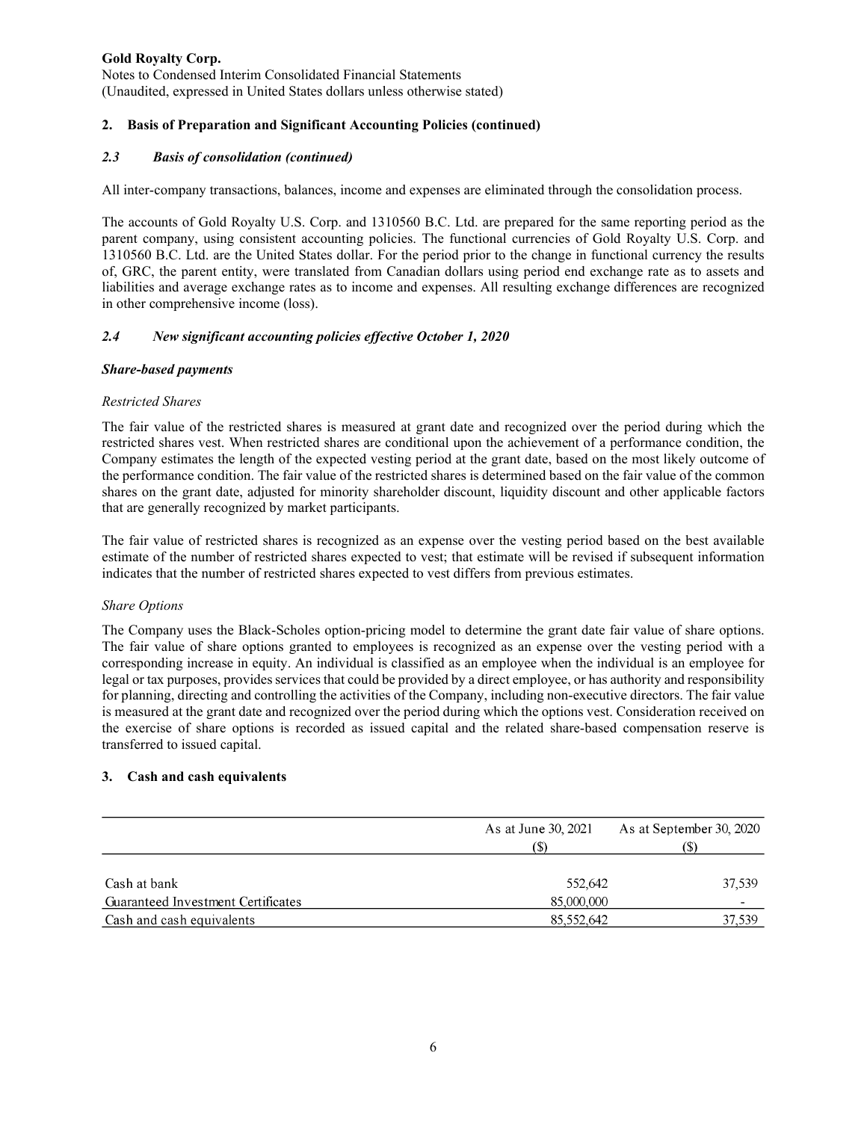Notes to Condensed Interim Consolidated Financial Statements (Unaudited, expressed in United States dollars unless otherwise stated)

# **2. Basis of Preparation and Significant Accounting Policies (continued)**

# *2.3 Basis of consolidation (continued)*

All inter-company transactions, balances, income and expenses are eliminated through the consolidation process.

The accounts of Gold Royalty U.S. Corp. and 1310560 B.C. Ltd. are prepared for the same reporting period as the parent company, using consistent accounting policies. The functional currencies of Gold Royalty U.S. Corp. and 1310560 B.C. Ltd. are the United States dollar. For the period prior to the change in functional currency the results of, GRC, the parent entity, were translated from Canadian dollars using period end exchange rate as to assets and liabilities and average exchange rates as to income and expenses. All resulting exchange differences are recognized in other comprehensive income (loss).

## *2.4 New significant accounting policies effective October 1, 2020*

## *Share-based payments*

## *Restricted Shares*

The fair value of the restricted shares is measured at grant date and recognized over the period during which the restricted shares vest. When restricted shares are conditional upon the achievement of a performance condition, the Company estimates the length of the expected vesting period at the grant date, based on the most likely outcome of the performance condition. The fair value of the restricted shares is determined based on the fair value of the common shares on the grant date, adjusted for minority shareholder discount, liquidity discount and other applicable factors that are generally recognized by market participants.

The fair value of restricted shares is recognized as an expense over the vesting period based on the best available estimate of the number of restricted shares expected to vest; that estimate will be revised if subsequent information indicates that the number of restricted shares expected to vest differs from previous estimates.

## *Share Options*

The Company uses the Black-Scholes option-pricing model to determine the grant date fair value of share options. The fair value of share options granted to employees is recognized as an expense over the vesting period with a corresponding increase in equity. An individual is classified as an employee when the individual is an employee for legal or tax purposes, provides services that could be provided by a direct employee, or has authority and responsibility for planning, directing and controlling the activities of the Company, including non-executive directors. The fair value is measured at the grant date and recognized over the period during which the options vest. Consideration received on the exercise of share options is recorded as issued capital and the related share-based compensation reserve is transferred to issued capital.

## **3. Cash and cash equivalents**

|                                                    | As at June 30, 2021   | As at September 30, 2020<br>(S) |
|----------------------------------------------------|-----------------------|---------------------------------|
| Cash at bank<br>Guaranteed Investment Certificates | 552,642<br>85,000,000 | 37,539<br>-                     |
| Cash and cash equivalents                          | 85,552,642            | 37,539                          |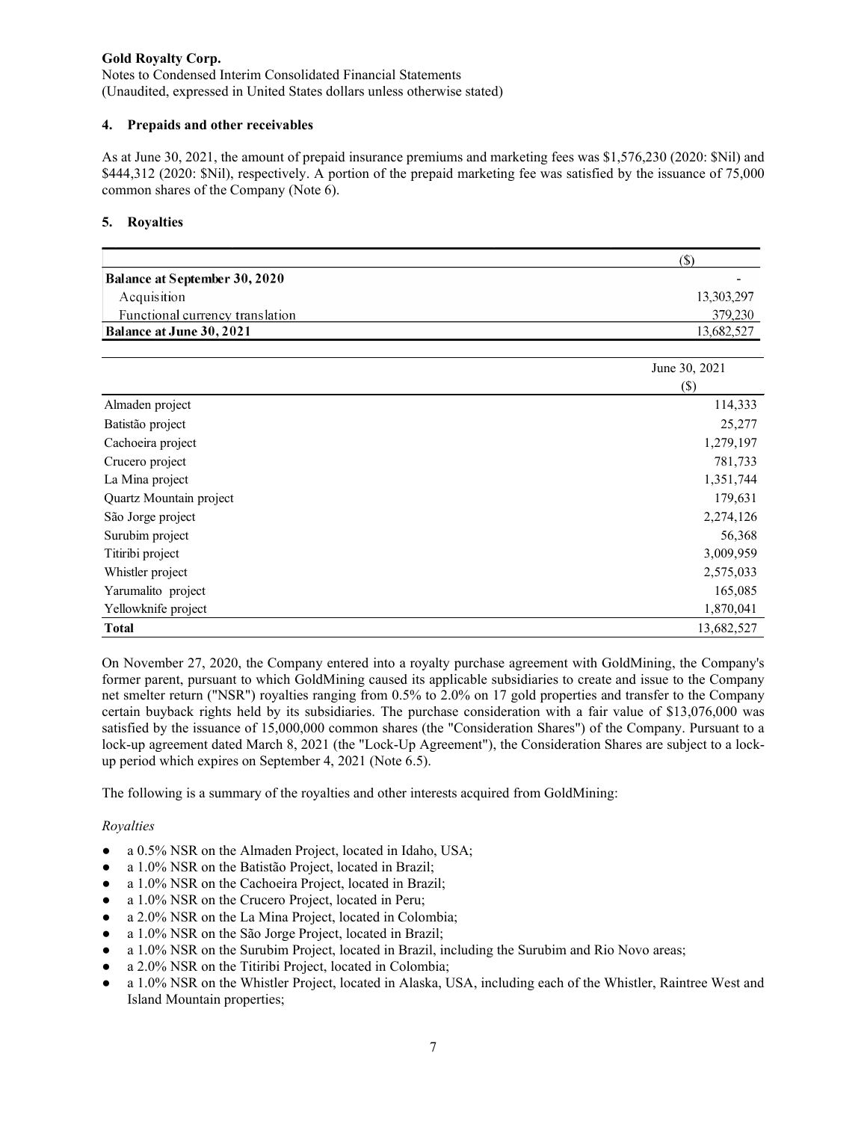Notes to Condensed Interim Consolidated Financial Statements (Unaudited, expressed in United States dollars unless otherwise stated)

### **4. Prepaids and other receivables**

As at June 30, 2021, the amount of prepaid insurance premiums and marketing fees was \$1,576,230 (2020: \$Nil) and \$444,312 (2020: \$Nil), respectively. A portion of the prepaid marketing fee was satisfied by the issuance of 75,000 common shares of the Company (Note 6).

### **5. Royalties**

|                                      | Ф.         |
|--------------------------------------|------------|
| <b>Balance at September 30, 2020</b> |            |
| Acquisition                          | 13.303.297 |
| Functional currency translation      | 379,230    |
| <b>Balance at June 30, 2021</b>      | 13,682,527 |

|                         | June 30, 2021 |
|-------------------------|---------------|
|                         | $(\$\)$       |
| Almaden project         | 114,333       |
| Batistão project        | 25,277        |
| Cachoeira project       | 1,279,197     |
| Crucero project         | 781,733       |
| La Mina project         | 1,351,744     |
| Quartz Mountain project | 179,631       |
| São Jorge project       | 2,274,126     |
| Surubim project         | 56,368        |
| Titiribi project        | 3,009,959     |
| Whistler project        | 2,575,033     |
| Yarumalito project      | 165,085       |
| Yellowknife project     | 1,870,041     |
| <b>Total</b>            | 13,682,527    |

On November 27, 2020, the Company entered into a royalty purchase agreement with GoldMining, the Company's former parent, pursuant to which GoldMining caused its applicable subsidiaries to create and issue to the Company net smelter return ("NSR") royalties ranging from 0.5% to 2.0% on 17 gold properties and transfer to the Company certain buyback rights held by its subsidiaries. The purchase consideration with a fair value of \$13,076,000 was satisfied by the issuance of 15,000,000 common shares (the "Consideration Shares") of the Company. Pursuant to a lock-up agreement dated March 8, 2021 (the "Lock-Up Agreement"), the Consideration Shares are subject to a lockup period which expires on September 4, 2021 (Note 6.5).

The following is a summary of the royalties and other interests acquired from GoldMining:

## *Royalties*

- a 0.5% NSR on the Almaden Project, located in Idaho, USA;
- a 1.0% NSR on the Batistão Project, located in Brazil;
- a 1.0% NSR on the Cachoeira Project, located in Brazil;
- a 1.0% NSR on the Crucero Project, located in Peru;
- a 2.0% NSR on the La Mina Project, located in Colombia;
- a 1.0% NSR on the São Jorge Project, located in Brazil;
- a 1.0% NSR on the Surubim Project, located in Brazil, including the Surubim and Rio Novo areas;
- a 2.0% NSR on the Titiribi Project, located in Colombia;
- a 1.0% NSR on the Whistler Project, located in Alaska, USA, including each of the Whistler, Raintree West and Island Mountain properties;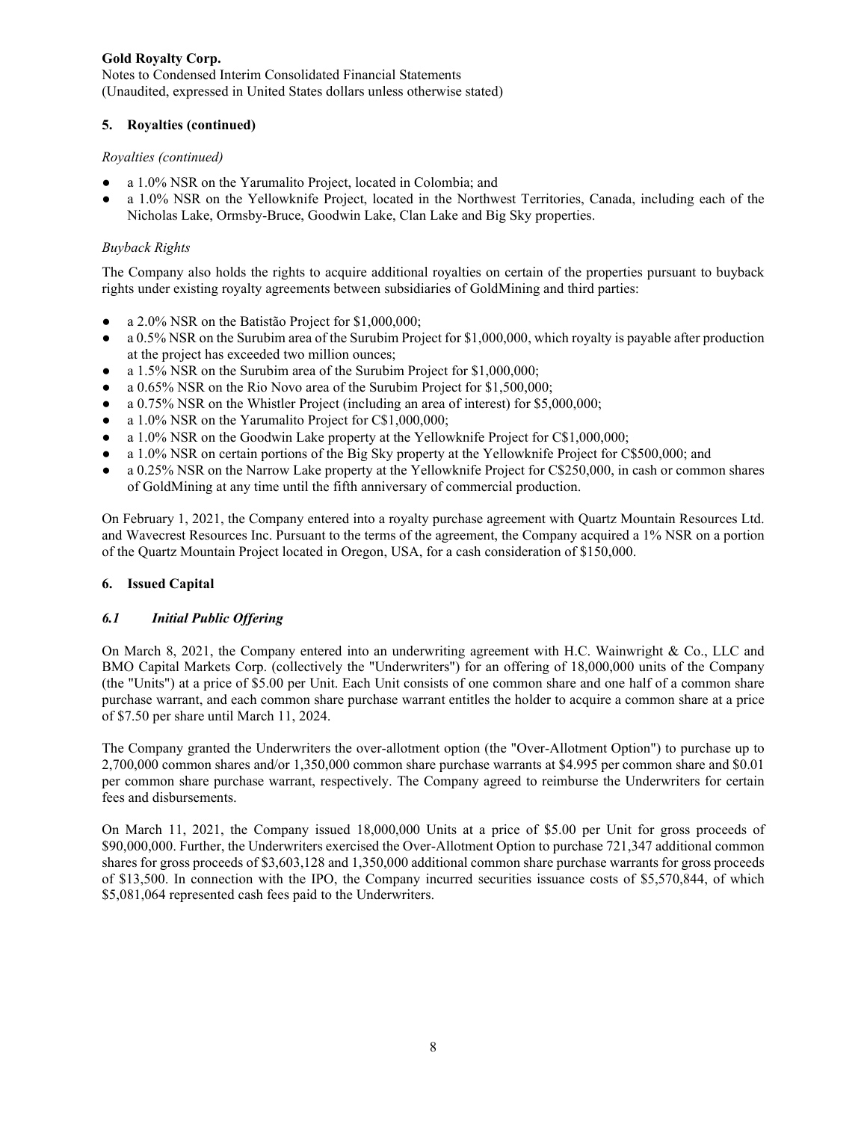Notes to Condensed Interim Consolidated Financial Statements (Unaudited, expressed in United States dollars unless otherwise stated)

# **5. Royalties (continued)**

### *Royalties (continued)*

- a 1.0% NSR on the Yarumalito Project, located in Colombia; and
- a 1.0% NSR on the Yellowknife Project, located in the Northwest Territories, Canada, including each of the Nicholas Lake, Ormsby-Bruce, Goodwin Lake, Clan Lake and Big Sky properties.

# *Buyback Rights*

The Company also holds the rights to acquire additional royalties on certain of the properties pursuant to buyback rights under existing royalty agreements between subsidiaries of GoldMining and third parties:

- a 2.0% NSR on the Batistão Project for \$1,000,000;
- $\bullet$  a 0.5% NSR on the Surubim area of the Surubim Project for \$1,000,000, which royalty is payable after production at the project has exceeded two million ounces;
- a 1.5% NSR on the Surubim area of the Surubim Project for \$1,000,000;
- a 0.65% NSR on the Rio Novo area of the Surubim Project for \$1,500,000;
- a 0.75% NSR on the Whistler Project (including an area of interest) for \$5,000,000;
- a 1.0% NSR on the Yarumalito Project for C\$1,000,000;
- a 1.0% NSR on the Goodwin Lake property at the Yellowknife Project for C\$1,000,000;
- a 1.0% NSR on certain portions of the Big Sky property at the Yellowknife Project for C\$500,000; and
- a 0.25% NSR on the Narrow Lake property at the Yellowknife Project for C\$250,000, in cash or common shares of GoldMining at any time until the fifth anniversary of commercial production.

On February 1, 2021, the Company entered into a royalty purchase agreement with Quartz Mountain Resources Ltd. and Wavecrest Resources Inc. Pursuant to the terms of the agreement, the Company acquired a 1% NSR on a portion of the Quartz Mountain Project located in Oregon, USA, for a cash consideration of \$150,000.

## **6. Issued Capital**

## *6.1 Initial Public Offering*

On March 8, 2021, the Company entered into an underwriting agreement with H.C. Wainwright & Co., LLC and BMO Capital Markets Corp. (collectively the "Underwriters") for an offering of 18,000,000 units of the Company (the "Units") at a price of \$5.00 per Unit. Each Unit consists of one common share and one half of a common share purchase warrant, and each common share purchase warrant entitles the holder to acquire a common share at a price of \$7.50 per share until March 11, 2024.

The Company granted the Underwriters the over-allotment option (the "Over-Allotment Option") to purchase up to 2,700,000 common shares and/or 1,350,000 common share purchase warrants at \$4.995 per common share and \$0.01 per common share purchase warrant, respectively. The Company agreed to reimburse the Underwriters for certain fees and disbursements.

On March 11, 2021, the Company issued 18,000,000 Units at a price of \$5.00 per Unit for gross proceeds of \$90,000,000. Further, the Underwriters exercised the Over-Allotment Option to purchase 721,347 additional common shares for gross proceeds of \$3,603,128 and 1,350,000 additional common share purchase warrants for gross proceeds of \$13,500. In connection with the IPO, the Company incurred securities issuance costs of \$5,570,844, of which \$5,081,064 represented cash fees paid to the Underwriters.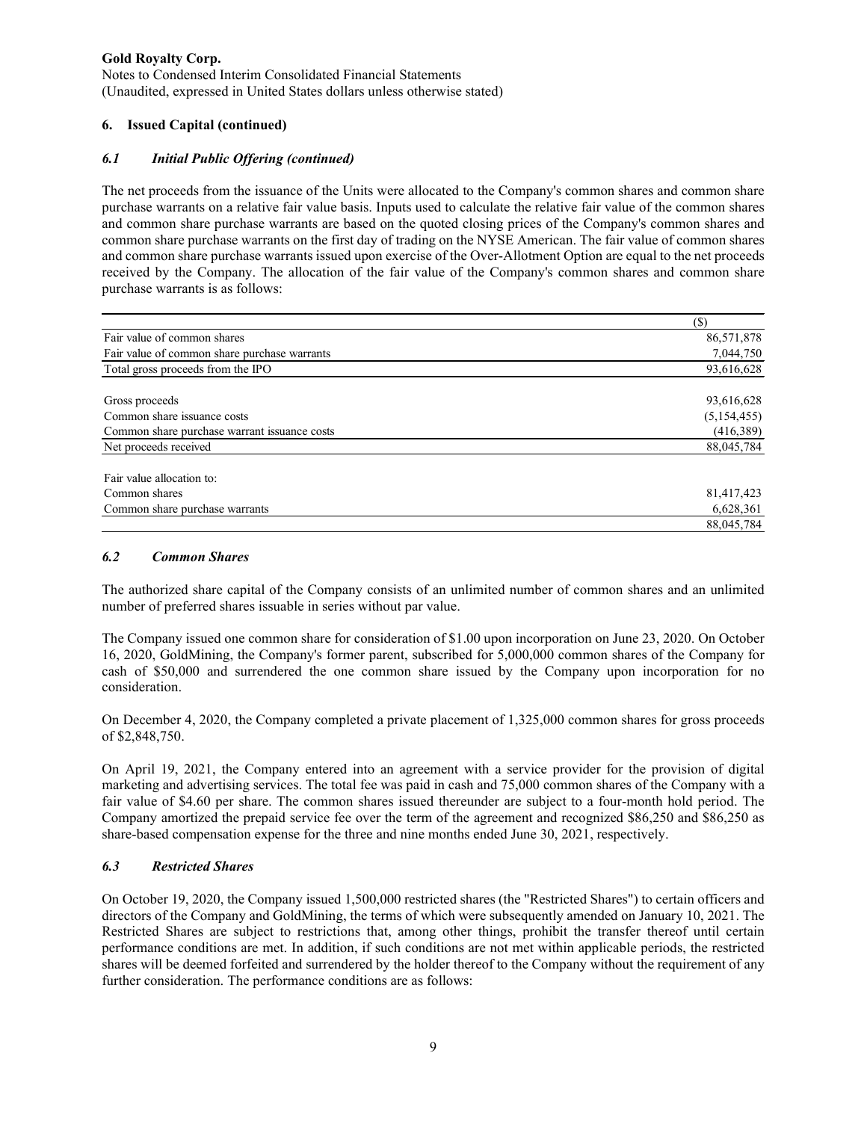Notes to Condensed Interim Consolidated Financial Statements (Unaudited, expressed in United States dollars unless otherwise stated)

# **6. Issued Capital (continued)**

# *6.1 Initial Public Offering (continued)*

The net proceeds from the issuance of the Units were allocated to the Company's common shares and common share purchase warrants on a relative fair value basis. Inputs used to calculate the relative fair value of the common shares and common share purchase warrants are based on the quoted closing prices of the Company's common shares and common share purchase warrants on the first day of trading on the NYSE American. The fair value of common shares and common share purchase warrants issued upon exercise of the Over-Allotment Option are equal to the net proceeds received by the Company. The allocation of the fair value of the Company's common shares and common share purchase warrants is as follows:

|                                              | (S)         |
|----------------------------------------------|-------------|
| Fair value of common shares                  | 86,571,878  |
| Fair value of common share purchase warrants | 7,044,750   |
| Total gross proceeds from the IPO            | 93,616,628  |
| Gross proceeds                               | 93,616,628  |
| Common share issuance costs                  | (5,154,455) |
| Common share purchase warrant issuance costs | (416, 389)  |
| Net proceeds received                        | 88,045,784  |
| Fair value allocation to:                    |             |
| Common shares                                | 81,417,423  |
| Common share purchase warrants               | 6,628,361   |
|                                              | 88,045,784  |

### *6.2 Common Shares*

The authorized share capital of the Company consists of an unlimited number of common shares and an unlimited number of preferred shares issuable in series without par value.

The Company issued one common share for consideration of \$1.00 upon incorporation on June 23, 2020. On October 16, 2020, GoldMining, the Company's former parent, subscribed for 5,000,000 common shares of the Company for cash of \$50,000 and surrendered the one common share issued by the Company upon incorporation for no consideration.

On December 4, 2020, the Company completed a private placement of 1,325,000 common shares for gross proceeds of \$2,848,750.

On April 19, 2021, the Company entered into an agreement with a service provider for the provision of digital marketing and advertising services. The total fee was paid in cash and 75,000 common shares of the Company with a fair value of \$4.60 per share. The common shares issued thereunder are subject to a four-month hold period. The Company amortized the prepaid service fee over the term of the agreement and recognized \$86,250 and \$86,250 as share-based compensation expense for the three and nine months ended June 30, 2021, respectively.

## *6.3 Restricted Shares*

On October 19, 2020, the Company issued 1,500,000 restricted shares (the "Restricted Shares") to certain officers and directors of the Company and GoldMining, the terms of which were subsequently amended on January 10, 2021. The Restricted Shares are subject to restrictions that, among other things, prohibit the transfer thereof until certain performance conditions are met. In addition, if such conditions are not met within applicable periods, the restricted shares will be deemed forfeited and surrendered by the holder thereof to the Company without the requirement of any further consideration. The performance conditions are as follows: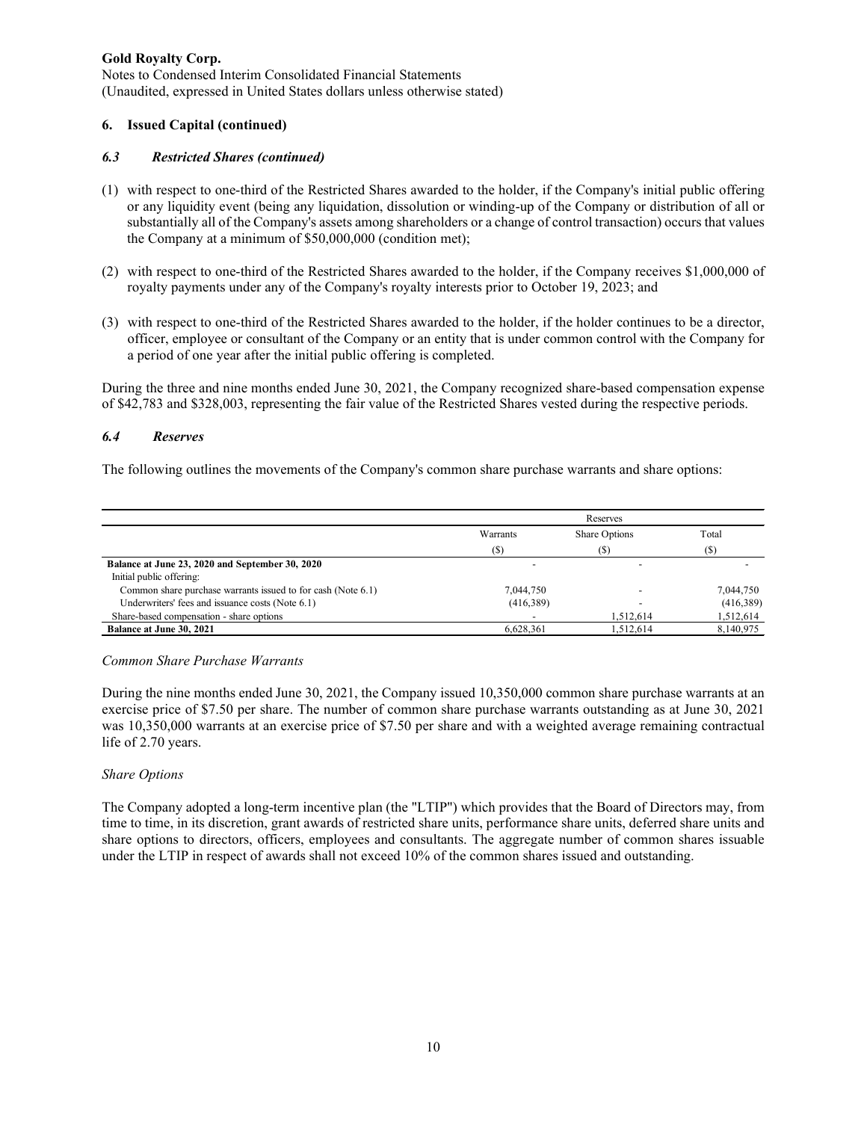Notes to Condensed Interim Consolidated Financial Statements (Unaudited, expressed in United States dollars unless otherwise stated)

### **6. Issued Capital (continued)**

#### *6.3 Restricted Shares (continued)*

- (1) with respect to one-third of the Restricted Shares awarded to the holder, if the Company's initial public offering or any liquidity event (being any liquidation, dissolution or winding-up of the Company or distribution of all or substantially all of the Company's assets among shareholders or a change of control transaction) occurs that values the Company at a minimum of \$50,000,000 (condition met);
- (2) with respect to one-third of the Restricted Shares awarded to the holder, if the Company receives \$1,000,000 of royalty payments under any of the Company's royalty interests prior to October 19, 2023; and
- (3) with respect to one-third of the Restricted Shares awarded to the holder, if the holder continues to be a director, officer, employee or consultant of the Company or an entity that is under common control with the Company for a period of one year after the initial public offering is completed.

During the three and nine months ended June 30, 2021, the Company recognized share-based compensation expense of \$42,783 and \$328,003, representing the fair value of the Restricted Shares vested during the respective periods.

#### *6.4 Reserves*

The following outlines the movements of the Company's common share purchase warrants and share options:

|                                                              |                 | Reserves             |           |
|--------------------------------------------------------------|-----------------|----------------------|-----------|
|                                                              | <b>Warrants</b> | <b>Share Options</b> | Total     |
|                                                              | $(\$)$          | (\$)                 | (S)       |
| Balance at June 23, 2020 and September 30, 2020              |                 |                      |           |
| Initial public offering:                                     |                 |                      |           |
| Common share purchase warrants issued to for cash (Note 6.1) | 7,044,750       |                      | 7,044,750 |
| Underwriters' fees and issuance costs (Note 6.1)             | (416,389)       |                      | (416,389) |
| Share-based compensation - share options                     |                 | 1.512.614            | 1,512,614 |
| Balance at June 30, 2021                                     | 6.628.361       | 1.512.614            | 8,140,975 |

#### *Common Share Purchase Warrants*

During the nine months ended June 30, 2021, the Company issued 10,350,000 common share purchase warrants at an exercise price of \$7.50 per share. The number of common share purchase warrants outstanding as at June 30, 2021 was 10,350,000 warrants at an exercise price of \$7.50 per share and with a weighted average remaining contractual life of 2.70 years.

#### *Share Options*

The Company adopted a long-term incentive plan (the "LTIP") which provides that the Board of Directors may, from time to time, in its discretion, grant awards of restricted share units, performance share units, deferred share units and share options to directors, officers, employees and consultants. The aggregate number of common shares issuable under the LTIP in respect of awards shall not exceed 10% of the common shares issued and outstanding.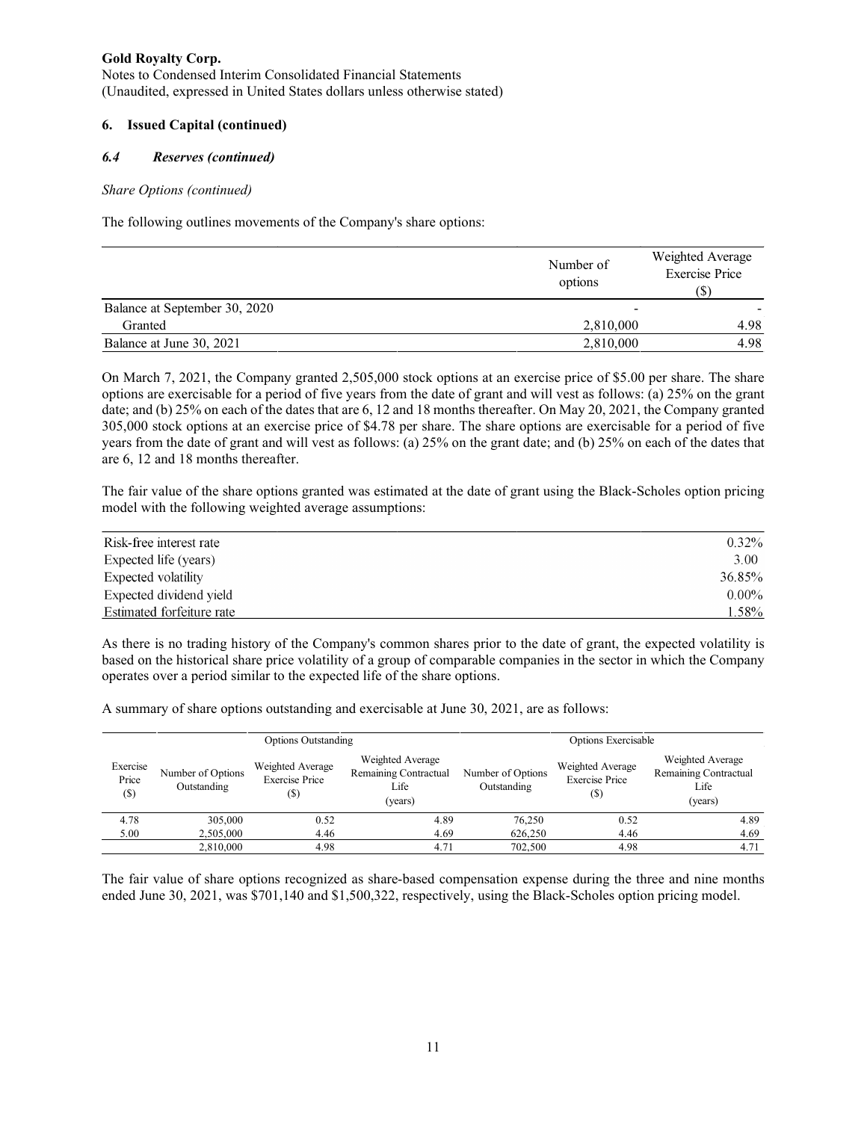Notes to Condensed Interim Consolidated Financial Statements (Unaudited, expressed in United States dollars unless otherwise stated)

# **6. Issued Capital (continued)**

# *6.4 Reserves (continued)*

### *Share Options (continued)*

The following outlines movements of the Company's share options:

|                               | Number of<br>options | Weighted Average<br><b>Exercise Price</b><br>(S) |
|-------------------------------|----------------------|--------------------------------------------------|
| Balance at September 30, 2020 | -                    |                                                  |
| Granted                       | 2,810,000            | 4.98                                             |
| Balance at June 30, 2021      | 2,810,000            | 4.98                                             |

On March 7, 2021, the Company granted 2,505,000 stock options at an exercise price of \$5.00 per share. The share options are exercisable for a period of five years from the date of grant and will vest as follows: (a) 25% on the grant date; and (b) 25% on each of the dates that are 6, 12 and 18 months thereafter. On May 20, 2021, the Company granted 305,000 stock options at an exercise price of \$4.78 per share. The share options are exercisable for a period of five years from the date of grant and will vest as follows: (a) 25% on the grant date; and (b) 25% on each of the dates that are 6, 12 and 18 months thereafter.

The fair value of the share options granted was estimated at the date of grant using the Black-Scholes option pricing model with the following weighted average assumptions:

| Risk-free interest rate   | $0.32\%$ |
|---------------------------|----------|
| Expected life (years)     | 3.00     |
| Expected volatility       | 36.85%   |
| Expected dividend vield   | $0.00\%$ |
| Estimated forfeiture rate | 1.58%    |

As there is no trading history of the Company's common shares prior to the date of grant, the expected volatility is based on the historical share price volatility of a group of comparable companies in the sector in which the Company operates over a period similar to the expected life of the share options.

A summary of share options outstanding and exercisable at June 30, 2021, are as follows:

|                           |                                  | <b>Options Outstanding</b>                        | Options Exercisable                                          |                                  |                                                  |                                                              |
|---------------------------|----------------------------------|---------------------------------------------------|--------------------------------------------------------------|----------------------------------|--------------------------------------------------|--------------------------------------------------------------|
| Exercise<br>Price<br>(\$) | Number of Options<br>Outstanding | Weighted Average<br><b>Exercise Price</b><br>(\$) | Weighted Average<br>Remaining Contractual<br>Life<br>(years) | Number of Options<br>Outstanding | Weighted Average<br><b>Exercise Price</b><br>(S) | Weighted Average<br>Remaining Contractual<br>Life<br>(years) |
| 4.78                      | 305,000                          | 0.52                                              | 4.89                                                         | 76,250                           | 0.52                                             | 4.89                                                         |
| 5.00                      | 2,505,000                        | 4.46                                              | 4.69                                                         | 626,250                          | 4.46                                             | 4.69                                                         |
|                           | 2,810,000                        | 4.98                                              | 4.71                                                         | 702,500                          | 4.98                                             | 4.71                                                         |

The fair value of share options recognized as share-based compensation expense during the three and nine months ended June 30, 2021, was \$701,140 and \$1,500,322, respectively, using the Black-Scholes option pricing model.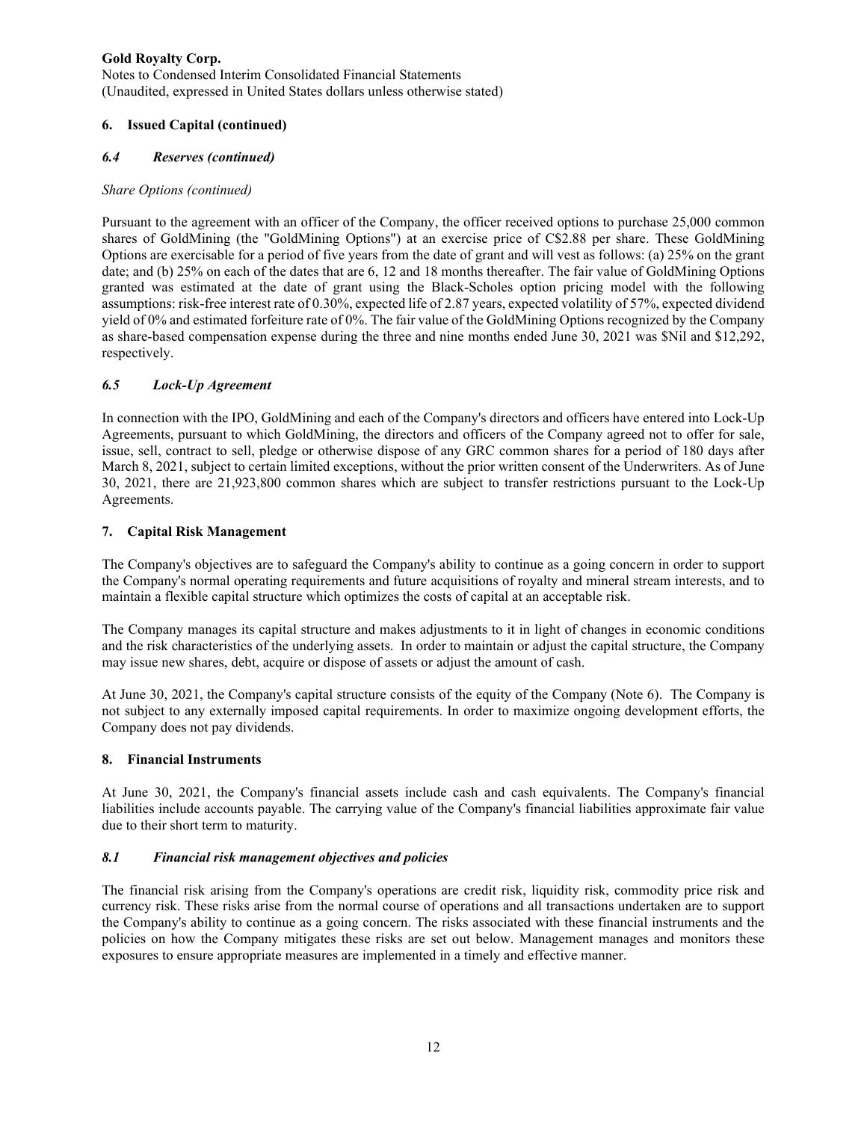Notes to Condensed Interim Consolidated Financial Statements (Unaudited, expressed in United States dollars unless otherwise stated)

# **6. Issued Capital (continued)**

# *6.4 Reserves (continued)*

## *Share Options (continued)*

Pursuant to the agreement with an officer of the Company, the officer received options to purchase 25,000 common shares of GoldMining (the "GoldMining Options") at an exercise price of C\$2.88 per share. These GoldMining Options are exercisable for a period of five years from the date of grant and will vest as follows: (a) 25% on the grant date; and (b) 25% on each of the dates that are 6, 12 and 18 months thereafter. The fair value of GoldMining Options granted was estimated at the date of grant using the Black-Scholes option pricing model with the following assumptions: risk-free interest rate of 0.30%, expected life of 2.87 years, expected volatility of 57%, expected dividend yield of 0% and estimated forfeiture rate of 0%. The fair value of the GoldMining Options recognized by the Company as share-based compensation expense during the three and nine months ended June 30, 2021 was \$Nil and \$12,292, respectively.

# *6.5 Lock-Up Agreement*

In connection with the IPO, GoldMining and each of the Company's directors and officers have entered into Lock-Up Agreements, pursuant to which GoldMining, the directors and officers of the Company agreed not to offer for sale, issue, sell, contract to sell, pledge or otherwise dispose of any GRC common shares for a period of 180 days after March 8, 2021, subject to certain limited exceptions, without the prior written consent of the Underwriters. As of June 30, 2021, there are 21,923,800 common shares which are subject to transfer restrictions pursuant to the Lock-Up Agreements.

# **7. Capital Risk Management**

The Company's objectives are to safeguard the Company's ability to continue as a going concern in order to support the Company's normal operating requirements and future acquisitions of royalty and mineral stream interests, and to maintain a flexible capital structure which optimizes the costs of capital at an acceptable risk.

The Company manages its capital structure and makes adjustments to it in light of changes in economic conditions and the risk characteristics of the underlying assets. In order to maintain or adjust the capital structure, the Company may issue new shares, debt, acquire or dispose of assets or adjust the amount of cash.

At June 30, 2021, the Company's capital structure consists of the equity of the Company (Note 6). The Company is not subject to any externally imposed capital requirements. In order to maximize ongoing development efforts, the Company does not pay dividends.

## **8. Financial Instruments**

At June 30, 2021, the Company's financial assets include cash and cash equivalents. The Company's financial liabilities include accounts payable. The carrying value of the Company's financial liabilities approximate fair value due to their short term to maturity.

## *8.1 Financial risk management objectives and policies*

The financial risk arising from the Company's operations are credit risk, liquidity risk, commodity price risk and currency risk. These risks arise from the normal course of operations and all transactions undertaken are to support the Company's ability to continue as a going concern. The risks associated with these financial instruments and the policies on how the Company mitigates these risks are set out below. Management manages and monitors these exposures to ensure appropriate measures are implemented in a timely and effective manner.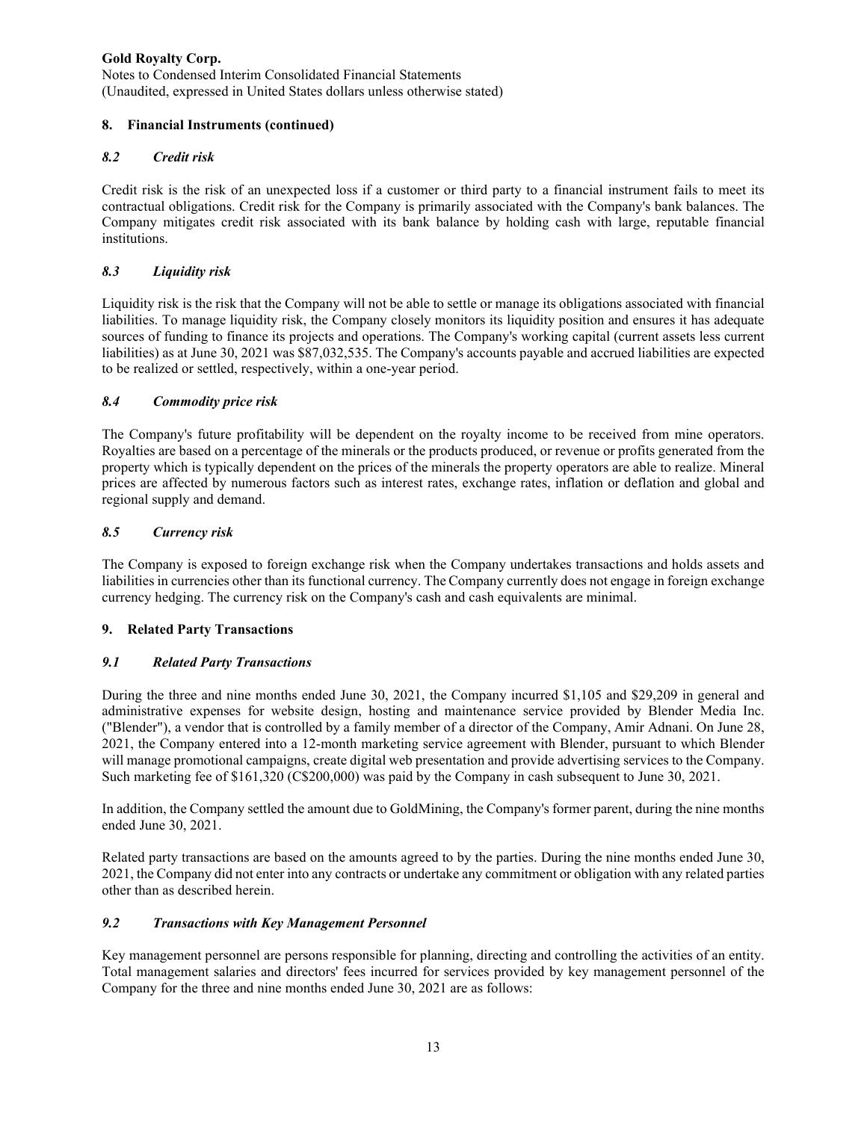Notes to Condensed Interim Consolidated Financial Statements (Unaudited, expressed in United States dollars unless otherwise stated)

# **8. Financial Instruments (continued)**

# *8.2 Credit risk*

Credit risk is the risk of an unexpected loss if a customer or third party to a financial instrument fails to meet its contractual obligations. Credit risk for the Company is primarily associated with the Company's bank balances. The Company mitigates credit risk associated with its bank balance by holding cash with large, reputable financial institutions.

# *8.3 Liquidity risk*

Liquidity risk is the risk that the Company will not be able to settle or manage its obligations associated with financial liabilities. To manage liquidity risk, the Company closely monitors its liquidity position and ensures it has adequate sources of funding to finance its projects and operations. The Company's working capital (current assets less current liabilities) as at June 30, 2021 was \$87,032,535. The Company's accounts payable and accrued liabilities are expected to be realized or settled, respectively, within a one-year period.

# *8.4 Commodity price risk*

The Company's future profitability will be dependent on the royalty income to be received from mine operators. Royalties are based on a percentage of the minerals or the products produced, or revenue or profits generated from the property which is typically dependent on the prices of the minerals the property operators are able to realize. Mineral prices are affected by numerous factors such as interest rates, exchange rates, inflation or deflation and global and regional supply and demand.

# *8.5 Currency risk*

The Company is exposed to foreign exchange risk when the Company undertakes transactions and holds assets and liabilities in currencies other than its functional currency. The Company currently does not engage in foreign exchange currency hedging. The currency risk on the Company's cash and cash equivalents are minimal.

## **9. Related Party Transactions**

# *9.1 Related Party Transactions*

During the three and nine months ended June 30, 2021, the Company incurred \$1,105 and \$29,209 in general and administrative expenses for website design, hosting and maintenance service provided by Blender Media Inc. ("Blender"), a vendor that is controlled by a family member of a director of the Company, Amir Adnani. On June 28, 2021, the Company entered into a 12-month marketing service agreement with Blender, pursuant to which Blender will manage promotional campaigns, create digital web presentation and provide advertising services to the Company. Such marketing fee of \$161,320 (C\$200,000) was paid by the Company in cash subsequent to June 30, 2021.

In addition, the Company settled the amount due to GoldMining, the Company's former parent, during the nine months ended June 30, 2021.

Related party transactions are based on the amounts agreed to by the parties. During the nine months ended June 30, 2021, the Company did not enter into any contracts or undertake any commitment or obligation with any related parties other than as described herein.

## *9.2 Transactions with Key Management Personnel*

Key management personnel are persons responsible for planning, directing and controlling the activities of an entity. Total management salaries and directors' fees incurred for services provided by key management personnel of the Company for the three and nine months ended June 30, 2021 are as follows: